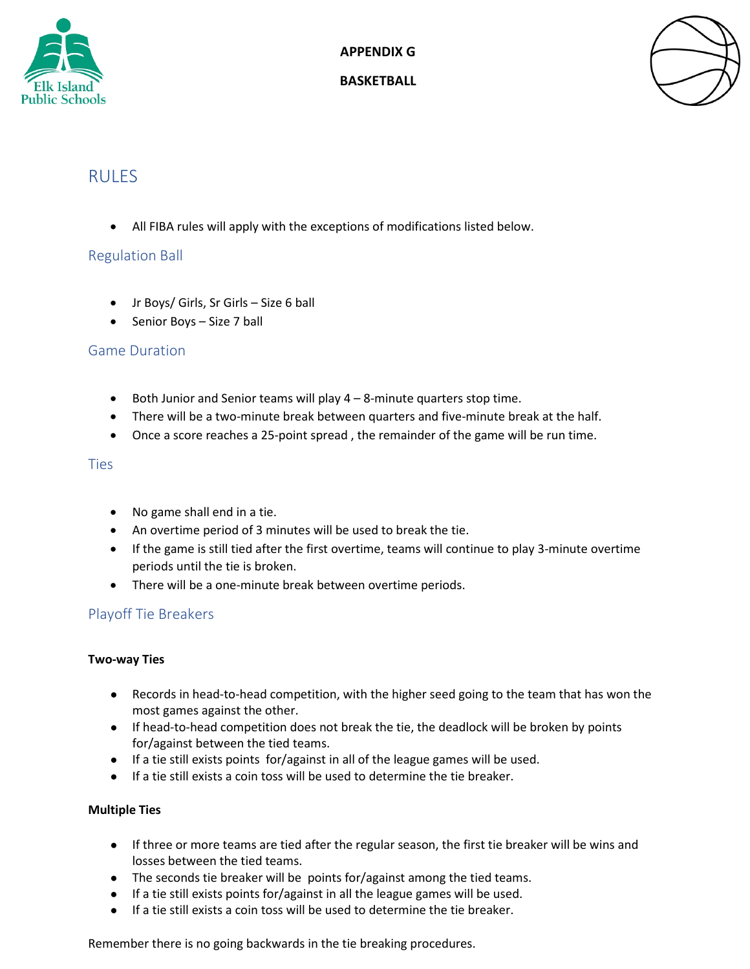

**APPENDIX G**

#### **BASKETBALL**



# **RULES**

• All FIBA rules will apply with the exceptions of modifications listed below.

# Regulation Ball

- Jr Boys/ Girls, Sr Girls Size 6 ball
- Senior Boys Size 7 ball

## Game Duration

- Both Junior and Senior teams will play 4 8-minute quarters stop time.
- There will be a two-minute break between quarters and five-minute break at the half.
- Once a score reaches a 25-point spread , the remainder of the game will be run time.

#### **Ties**

- No game shall end in a tie.
- An overtime period of 3 minutes will be used to break the tie.
- If the game is still tied after the first overtime, teams will continue to play 3-minute overtime periods until the tie is broken.
- There will be a one-minute break between overtime periods.

## Playoff Tie Breakers

#### **Two-way Ties**

- Records in head-to-head competition, with the higher seed going to the team that has won the most games against the other.
- If head-to-head competition does not break the tie, the deadlock will be broken by points for/against between the tied teams.
- If a tie still exists points for/against in all of the league games will be used.
- If a tie still exists a coin toss will be used to determine the tie breaker.

#### **Multiple Ties**

- If three or more teams are tied after the regular season, the first tie breaker will be wins and losses between the tied teams.
- The seconds tie breaker will be points for/against among the tied teams.
- If a tie still exists points for/against in all the league games will be used.
- If a tie still exists a coin toss will be used to determine the tie breaker.

Remember there is no going backwards in the tie breaking procedures.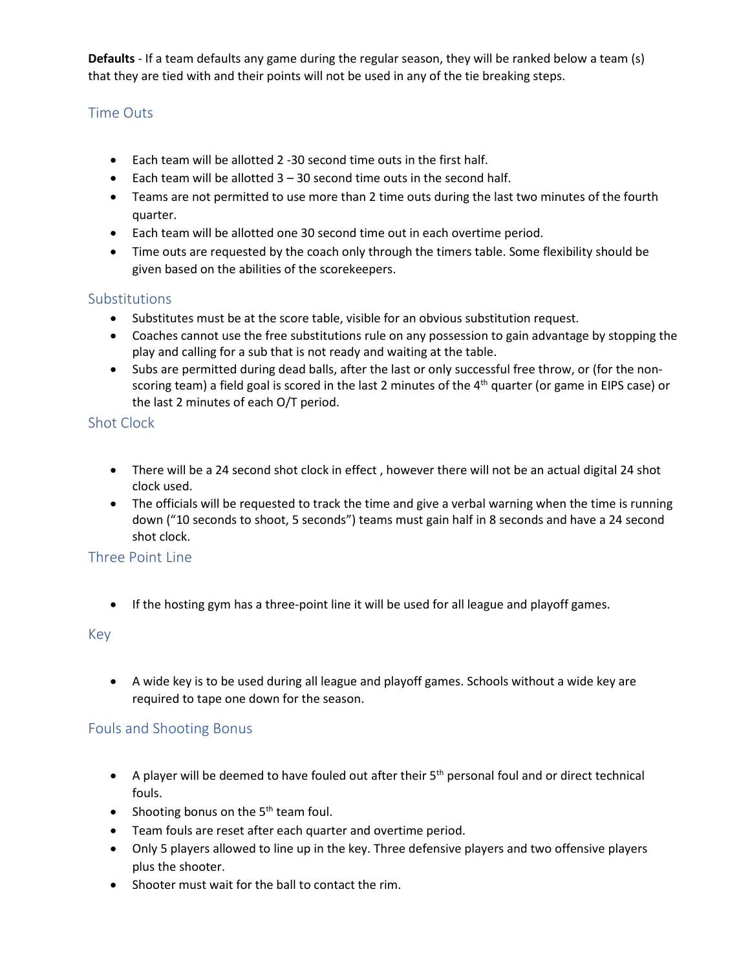**Defaults** - If a team defaults any game during the regular season, they will be ranked below a team (s) that they are tied with and their points will not be used in any of the tie breaking steps.

## Time Outs

- Each team will be allotted 2 -30 second time outs in the first half.
- $\bullet$  Each team will be allotted  $3 30$  second time outs in the second half.
- Teams are not permitted to use more than 2 time outs during the last two minutes of the fourth quarter.
- Each team will be allotted one 30 second time out in each overtime period.
- Time outs are requested by the coach only through the timers table. Some flexibility should be given based on the abilities of the scorekeepers.

## Substitutions

- Substitutes must be at the score table, visible for an obvious substitution request.
- Coaches cannot use the free substitutions rule on any possession to gain advantage by stopping the play and calling for a sub that is not ready and waiting at the table.
- Subs are permitted during dead balls, after the last or only successful free throw, or (for the nonscoring team) a field goal is scored in the last 2 minutes of the  $4<sup>th</sup>$  quarter (or game in EIPS case) or the last 2 minutes of each O/T period.

## Shot Clock

- There will be a 24 second shot clock in effect, however there will not be an actual digital 24 shot clock used.
- The officials will be requested to track the time and give a verbal warning when the time is running down ("10 seconds to shoot, 5 seconds") teams must gain half in 8 seconds and have a 24 second shot clock.

# Three Point Line

• If the hosting gym has a three-point line it will be used for all league and playoff games.

## Key

• A wide key is to be used during all league and playoff games. Schools without a wide key are required to tape one down for the season.

## Fouls and Shooting Bonus

- A player will be deemed to have fouled out after their  $5<sup>th</sup>$  personal foul and or direct technical fouls.
- Shooting bonus on the  $5<sup>th</sup>$  team foul.
- Team fouls are reset after each quarter and overtime period.
- Only 5 players allowed to line up in the key. Three defensive players and two offensive players plus the shooter.
- Shooter must wait for the ball to contact the rim.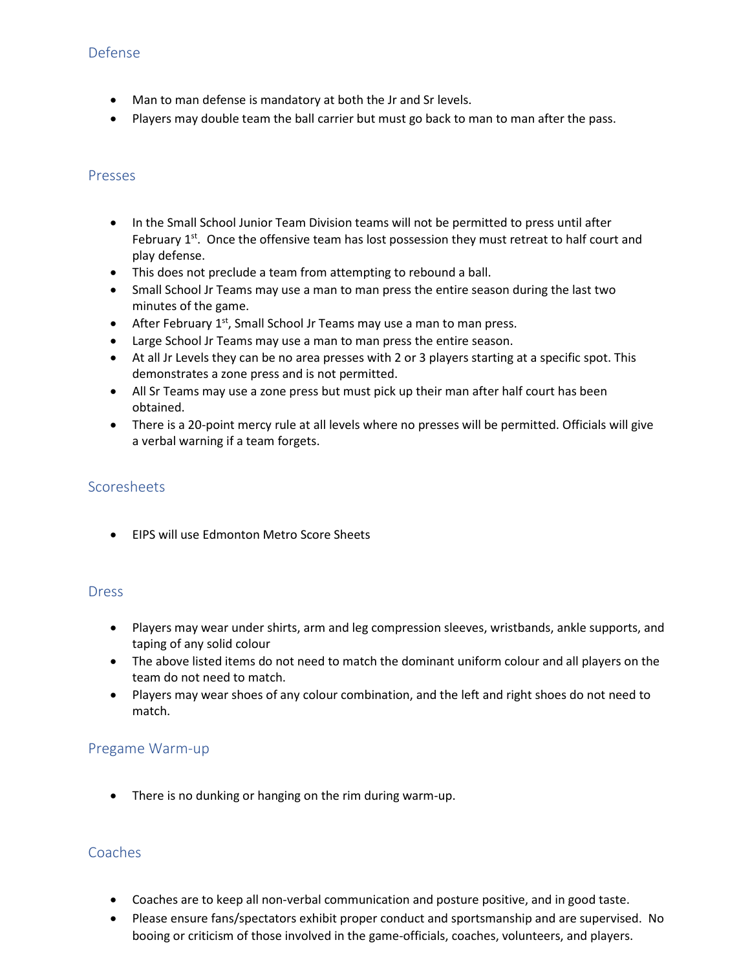## Defense

- Man to man defense is mandatory at both the Jr and Sr levels.
- Players may double team the ball carrier but must go back to man to man after the pass.

#### Presses

- In the Small School Junior Team Division teams will not be permitted to press until after February  $1<sup>st</sup>$ . Once the offensive team has lost possession they must retreat to half court and play defense.
- This does not preclude a team from attempting to rebound a ball.
- Small School Jr Teams may use a man to man press the entire season during the last two minutes of the game.
- After February  $1^{st}$ , Small School Jr Teams may use a man to man press.
- Large School Jr Teams may use a man to man press the entire season.
- At all Jr Levels they can be no area presses with 2 or 3 players starting at a specific spot. This demonstrates a zone press and is not permitted.
- All Sr Teams may use a zone press but must pick up their man after half court has been obtained.
- There is a 20-point mercy rule at all levels where no presses will be permitted. Officials will give a verbal warning if a team forgets.

## Scoresheets

• EIPS will use Edmonton Metro Score Sheets

## Dress

- Players may wear under shirts, arm and leg compression sleeves, wristbands, ankle supports, and taping of any solid colour
- The above listed items do not need to match the dominant uniform colour and all players on the team do not need to match.
- Players may wear shoes of any colour combination, and the left and right shoes do not need to match.

## Pregame Warm-up

• There is no dunking or hanging on the rim during warm-up.

#### **Coaches**

- Coaches are to keep all non-verbal communication and posture positive, and in good taste.
- Please ensure fans/spectators exhibit proper conduct and sportsmanship and are supervised. No booing or criticism of those involved in the game-officials, coaches, volunteers, and players.